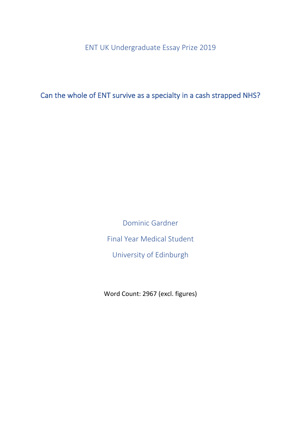ENT UK Undergraduate Essay Prize 2019

Can the whole of ENT survive as a specialty in a cash strapped NHS?

Dominic Gardner Final Year Medical Student University of Edinburgh

Word Count: 2967 (excl. figures)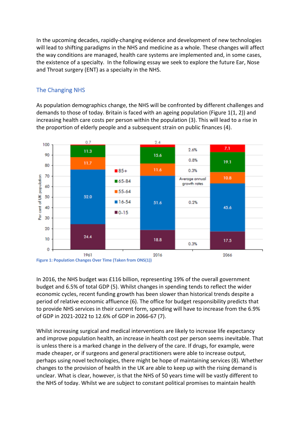In the upcoming decades, rapidly-changing evidence and development of new technologies will lead to shifting paradigms in the NHS and medicine as a whole. These changes will affect the way conditions are managed, health care systems are implemented and, in some cases, the existence of a specialty. In the following essay we seek to explore the future Ear, Nose and Throat surgery (ENT) as a specialty in the NHS.

## The Changing NHS

As population demographics change, the NHS will be confronted by different challenges and demands to those of today. Britain is faced with an ageing population (Figure 1(1, 2)) and increasing health care costs per person within the population (3). This will lead to a rise in the proportion of elderly people and a subsequent strain on public finances (4).





In 2016, the NHS budget was £116 billion, representing 19% of the overall government budget and 6.5% of total GDP (5). Whilst changes in spending tends to reflect the wider economic cycles, recent funding growth has been slower than historical trends despite a period of relative economic affluence (6). The office for budget responsibility predicts that to provide NHS services in their current form, spending will have to increase from the 6.9% of GDP in 2021-2022 to 12.6% of GDP in 2066-67 (7).

Whilst increasing surgical and medical interventions are likely to increase life expectancy and improve population health, an increase in health cost per person seems inevitable. That is unless there is a marked change in the delivery of the care. If drugs, for example, were made cheaper, or if surgeons and general practitioners were able to increase output, perhaps using novel technologies, there might be hope of maintaining services (8). Whether changes to the provision of health in the UK are able to keep up with the rising demand is unclear. What is clear, however, is that the NHS of 50 years time will be vastly different to the NHS of today. Whilst we are subject to constant political promises to maintain health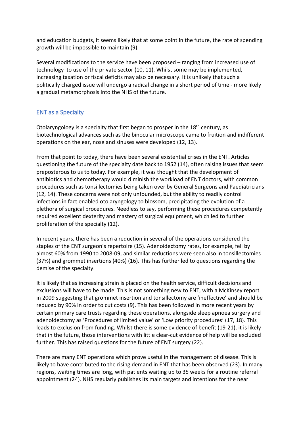and education budgets, it seems likely that at some point in the future, the rate of spending growth will be impossible to maintain (9).

Several modifications to the service have been proposed – ranging from increased use of technology to use of the private sector (10, 11). Whilst some may be implemented, increasing taxation or fiscal deficits may also be necessary. It is unlikely that such a politically charged issue will undergo a radical change in a short period of time - more likely a gradual metamorphosis into the NHS of the future.

## ENT as a Specialty

Otolaryngology is a specialty that first began to prosper in the 18<sup>th</sup> century, as biotechnological advances such as the binocular microscope came to fruition and indifferent operations on the ear, nose and sinuses were developed (12, 13).

From that point to today, there have been several existential crises in the ENT. Articles questioning the future of the specialty date back to 1952 (14), often raising issues that seem preposterous to us to today. For example, it was thought that the development of antibiotics and chemotherapy would diminish the workload of ENT doctors, with common procedures such as tonsillectomies being taken over by General Surgeons and Paediatricians (12, 14). These concerns were not only unfounded, but the ability to readily control infections in fact enabled otolaryngology to blossom, precipitating the evolution of a plethora of surgical procedures. Needless to say, performing these procedures competently required excellent dexterity and mastery of surgical equipment, which led to further proliferation of the specialty (12).

In recent years, there has been a reduction in several of the operations considered the staples of the ENT surgeon's repertoire (15). Adenoidectomy rates, for example, fell by almost 60% from 1990 to 2008-09, and similar reductions were seen also in tonsillectomies (37%) and grommet insertions (40%) (16). This has further led to questions regarding the demise of the specialty.

It is likely that as increasing strain is placed on the health service, difficult decisions and exclusions will have to be made. This is not something new to ENT, with a McKinsey report in 2009 suggesting that grommet insertion and tonsillectomy are 'ineffective' and should be reduced by 90% in order to cut costs (9). This has been followed in more recent years by certain primary care trusts regarding these operations, alongside sleep apnoea surgery and adenoidectomy as 'Procedures of limited value' or 'Low priority procedures' (17, 18). This leads to exclusion from funding. Whilst there is some evidence of benefit (19-21), it is likely that in the future, those interventions with little clear-cut evidence of help will be excluded further. This has raised questions for the future of ENT surgery (22).

There are many ENT operations which prove useful in the management of disease. This is likely to have contributed to the rising demand in ENT that has been observed (23). In many regions, waiting times are long, with patients waiting up to 35 weeks for a routine referral appointment (24). NHS regularly publishes its main targets and intentions for the near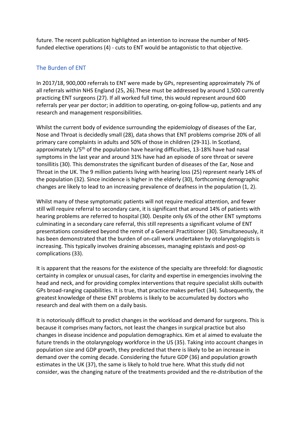future. The recent publication highlighted an intention to increase the number of NHSfunded elective operations (4) - cuts to ENT would be antagonistic to that objective.

## The Burden of ENT

In 2017/18, 900,000 referrals to ENT were made by GPs, representing approximately 7% of all referrals within NHS England (25, 26).These must be addressed by around 1,500 currently practicing ENT surgeons (27). If all worked full time, this would represent around 600 referrals per year per doctor; in addition to operating, on-going follow-up, patients and any research and management responsibilities.

Whilst the current body of evidence surrounding the epidemiology of diseases of the Ear, Nose and Throat is decidedly small (28), data shows that ENT problems comprise 20% of all primary care complaints in adults and 50% of those in children (29-31). In Scotland, approximately  $1/5<sup>th</sup>$  of the population have hearing difficulties, 13-18% have had nasal symptoms in the last year and around 31% have had an episode of sore throat or severe tonsillitis (30). This demonstrates the significant burden of diseases of the Ear, Nose and Throat in the UK. The 9 million patients living with hearing loss (25) represent nearly 14% of the population (32). Since incidence is higher in the elderly (30), forthcoming demographic changes are likely to lead to an increasing prevalence of deafness in the population (1, 2).

Whilst many of these symptomatic patients will not require medical attention, and fewer still will require referral to secondary care, it is significant that around 14% of patients with hearing problems are referred to hospital (30). Despite only 6% of the other ENT symptoms culminating in a secondary care referral, this still represents a significant volume of ENT presentations considered beyond the remit of a General Practitioner (30). Simultaneously, it has been demonstrated that the burden of on-call work undertaken by otolaryngologists is increasing. This typically involves draining abscesses, managing epistaxis and post-op complications (33).

It is apparent that the reasons for the existence of the specialty are threefold: for diagnostic certainty in complex or unusual cases, for clarity and expertise in emergencies involving the head and neck, and for providing complex interventions that require specialist skills outwith GPs broad-ranging capabilities. It is true, that practice makes perfect (34). Subsequently, the greatest knowledge of these ENT problems is likely to be accumulated by doctors who research and deal with them on a daily basis.

It is notoriously difficult to predict changes in the workload and demand for surgeons. This is because it comprises many factors, not least the changes in surgical practice but also changes in disease incidence and population demographics. Kim et al aimed to evaluate the future trends in the otolaryngology workforce in the US (35). Taking into account changes in population size and GDP growth, they predicted that there is likely to be an increase in demand over the coming decade. Considering the future GDP (36) and population growth estimates in the UK (37), the same is likely to hold true here. What this study did not consider, was the changing nature of the treatments provided and the re-distribution of the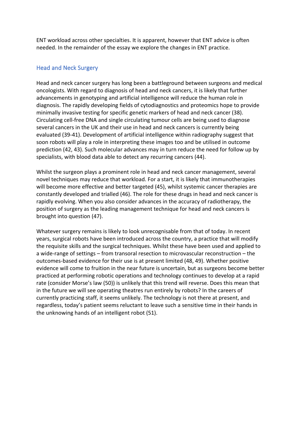ENT workload across other specialties. It is apparent, however that ENT advice is often needed. In the remainder of the essay we explore the changes in ENT practice.

### Head and Neck Surgery

Head and neck cancer surgery has long been a battleground between surgeons and medical oncologists. With regard to diagnosis of head and neck cancers, it is likely that further advancements in genotyping and artificial intelligence will reduce the human role in diagnosis. The rapidly developing fields of cytodiagnostics and proteomics hope to provide minimally invasive testing for specific genetic markers of head and neck cancer (38). Circulating cell-free DNA and single circulating tumour cells are being used to diagnose several cancers in the UK and their use in head and neck cancers is currently being evaluated (39-41). Development of artificial intelligence within radiography suggest that soon robots will play a role in interpreting these images too and be utilised in outcome prediction (42, 43). Such molecular advances may in turn reduce the need for follow up by specialists, with blood data able to detect any recurring cancers (44).

Whilst the surgeon plays a prominent role in head and neck cancer management, several novel techniques may reduce that workload. For a start, it is likely that immunotherapies will become more effective and better targeted (45), whilst systemic cancer therapies are constantly developed and trialled (46). The role for these drugs in head and neck cancer is rapidly evolving. When you also consider advances in the accuracy of radiotherapy, the position of surgery as the leading management technique for head and neck cancers is brought into question (47).

Whatever surgery remains is likely to look unrecognisable from that of today. In recent years, surgical robots have been introduced across the country, a practice that will modify the requisite skills and the surgical techniques. Whilst these have been used and applied to a wide-range of settings – from transoral resection to microvascular reconstruction – the outcomes-based evidence for their use is at present limited (48, 49). Whether positive evidence will come to fruition in the near future is uncertain, but as surgeons become better practiced at performing robotic operations and technology continues to develop at a rapid rate (consider Morse's law (50)) is unlikely that this trend will reverse. Does this mean that in the future we will see operating theatres run entirely by robots? In the careers of currently practicing staff, it seems unlikely. The technology is not there at present, and regardless, today's patient seems reluctant to leave such a sensitive time in their hands in the unknowing hands of an intelligent robot (51).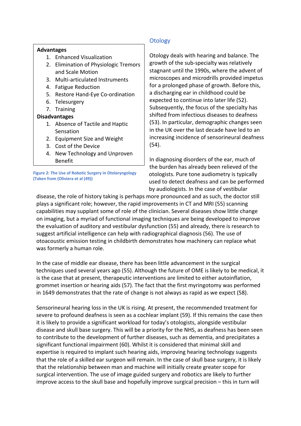### **Advantages**

- 1. Enhanced Visualization
- 2. Elimination of Physiologic Tremors and Scale Motion
- 3. Multi-articulated Instruments
- 4. Fatigue Reduction
- 5. Restore Hand-Eye Co-ordination
- 6. Telesurgery
- 7. Training

### **Disadvantages**

- 1. Absence of Tactile and Haptic **Sensation**
- 2. Equipment Size and Weight
- 3. Cost of the Device
- 4. New Technology and Unproven Benefit

**Figure 2: The Use of Robotic Surgery in Otolaryngology (Taken from (Oliviera et al (49))**

## **Otology**

Otology deals with hearing and balance. The growth of the sub-specialty was relatively stagnant until the 1990s, where the advent of microscopes and microdrills provided impetus for a prolonged phase of growth. Before this, a discharging ear in childhood could be expected to continue into later life (52). Subsequently, the focus of the specialty has shifted from infectious diseases to deafness (53). In particular, demographic changes seen in the UK over the last decade have led to an increasing incidence of sensorineural deafness (54).

In diagnosing disorders of the ear, much of the burden has already been relieved of the otologists. Pure tone audiometry is typically used to detect deafness and can be performed by audiologists. In the case of vestibular

disease, the role of history taking is perhaps more pronounced and as such, the doctor still plays a significant role; however, the rapid improvements in CT and MRI (55) scanning capabilities may supplant some of role of the clinician. Several diseases show little change on imaging, but a myriad of functional imaging techniques are being developed to improve the evaluation of auditory and vestibular dysfunction (55) and already, there is research to suggest artificial intelligence can help with radiographical diagnosis (56). The use of otoacoustic emission testing in childbirth demonstrates how machinery can replace what was formerly a human role.

In the case of middle ear disease, there has been little advancement in the surgical techniques used several years ago (55). Although the future of OME is likely to be medical, it is the case that at present, therapeutic interventions are limited to either autoinflation, grommet insertion or hearing aids (57). The fact that the first myringotomy was performed in 1649 demonstrates that the rate of change is not always as rapid as we expect (58).

Sensorineural hearing loss in the UK is rising. At present, the recommended treatment for severe to profound deafness is seen as a cochlear implant (59). If this remains the case then it is likely to provide a significant workload for today's otologists, alongside vestibular disease and skull base surgery. This will be a priority for the NHS, as deafness has been seen to contribute to the development of further diseases, such as dementia, and precipitates a significant functional impairment (60). Whilst it is considered that minimal skill and expertise is required to implant such hearing aids, improving hearing technology suggests that the role of a skilled ear surgeon will remain. In the case of skull base surgery, it is likely that the relationship between man and machine will initially create greater scope for surgical intervention. The use of image guided surgery and robotics are likely to further improve access to the skull base and hopefully improve surgical precision – this in turn will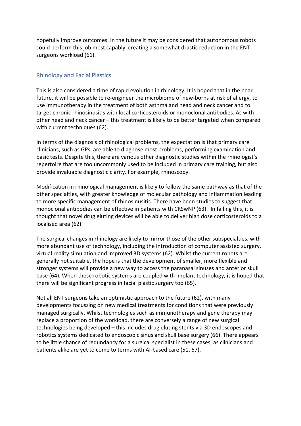hopefully improve outcomes. In the future it may be considered that autonomous robots could perform this job most capably, creating a somewhat drastic reduction in the ENT surgeons workload (61).

## Rhinology and Facial Plastics

This is also considered a time of rapid evolution in rhinology. It is hoped that in the near future, it will be possible to re-engineer the microbiome of new-borns at risk of allergy, to use immunotherapy in the treatment of both asthma and head and neck cancer and to target chronic rhinosinusitis with local corticosteroids or monoclonal antibodies. As with other head and neck cancer – this treatment is likely to be better targeted when compared with current techniques (62).

In terms of the diagnosis of rhinological problems, the expectation is that primary care clinicians, such as GPs, are able to diagnose most problems, performing examination and basic tests. Despite this, there are various other diagnostic studies within the rhinologist's repertoire that are too uncommonly used to be included in primary care training, but also provide invaluable diagnostic clarity. For example, rhinoscopy.

Modification in rhinological management is likely to follow the same pathway as that of the other specialties, with greater knowledge of molecular pathology and inflammation leading to more specific management of rhinosinusitis. There have been studies to suggest that monoclonal antibodies can be effective in patients with CRSwNP (63). In failing this, it is thought that novel drug eluting devices will be able to deliver high dose corticosteroids to a localised area (62).

The surgical changes in rhinology are likely to mirror those of the other subspecialties, with more abundant use of technology, including the introduction of computer assisted surgery, virtual reality simulation and improved 3D systems (62). Whilst the current robots are generally not suitable, the hope is that the development of smaller, more flexible and stronger systems will provide a new way to access the paranasal sinuses and anterior skull base (64). When these robotic systems are coupled with implant technology, it is hoped that there will be significant progress in facial plastic surgery too (65).

Not all ENT surgeons take an optimistic approach to the future (62), with many developments focussing on new medical treatments for conditions that were previously managed surgically. Whilst technologies such as immunotherapy and gene therapy may replace a proportion of the workload, there are conversely a range of new surgical technologies being developed – this includes drug eluting stents via 3D endoscopes and robotics systems dedicated to endoscopic sinus and skull base surgery (66). There appears to be little chance of redundancy for a surgical specialist in these cases, as clinicians and patients alike are yet to come to terms with AI-based care (51, 67).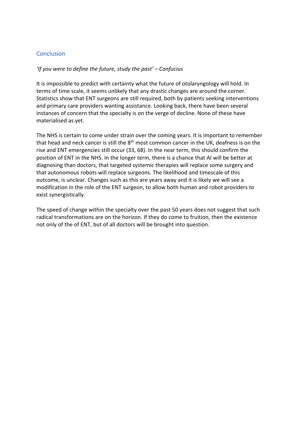## **Conclusion**

### *'If you were to define the future, study the past' – Confucius*

It is impossible to predict with certainty what the future of otolaryngology will hold. In terms of time scale, it seems unlikely that any drastic changes are around the corner. Statistics show that ENT surgeons are still required, both by patients seeking interventions and primary care providers wanting assistance. Looking back, there have been several instances of concern that the specialty is on the verge of decline. None of these have materialised as yet.

The NHS is certain to come under strain over the coming years. It is important to remember that head and neck cancer is still the 8<sup>th</sup> most common cancer in the UK, deafness is on the rise and ENT emergencies still occur (33, 68). In the near term, this should confirm the position of ENT in the NHS. In the longer term, there is a chance that AI will be better at diagnosing than doctors, that targeted systemic therapies will replace some surgery and that autonomous robots will replace surgeons. The likelihood and timescale of this outcome, is unclear. Changes such as this are years away and it is likely we will see a modification in the role of the ENT surgeon, to allow both human and robot providers to exist synergistically.

The speed of change within the specialty over the past 50 years does not suggest that such radical transformations are on the horizon. If they do come to fruition, then the existence not only of the of ENT, but of all doctors will be brought into question.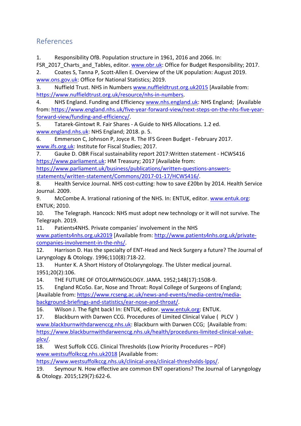# References

1. Responsibility OfB. Population structure in 1961, 2016 and 2066. In:

FSR\_2017\_Charts\_and\_Tables, editor. www.obr.uk: Office for Budget Responsibility; 2017.

2. Coates S, Tanna P, Scott-Allen E. Overview of the UK population: August 2019. www.ons.gov.uk: Office for National Statistics; 2019.

3. Nuffield Trust. NHS in Numbers www.nuffieldtrust.org.uk2015 [Available from: https://www.nuffieldtrust.org.uk/resource/nhs-in-numbers.

4. NHS England. Funding and Efficiency www.nhs.england.uk: NHS England; [Available from: https://www.england.nhs.uk/five-year-forward-view/next-steps-on-the-nhs-five-yearforward-view/funding-and-efficiency/.

5. Tatarek-Gintowt R. Fair Shares - A Guide to NHS Allocations. 1.2 ed. www.england.nhs.uk: NHS England; 2018. p. 5.

6. Emmerson C, Johnson P, Joyce R. The IFS Green Budget - February 2017. www.ifs.org.uk: Institute for Fiscal Studies; 2017.

7. Gauke D. OBR Fiscal sustainability report 2017:Written statement - HCWS416 https://www.parliament.uk: HM Treasury; 2017 [Available from:

https://www.parliament.uk/business/publications/written-questions-answersstatements/written-statement/Commons/2017-01-17/HCWS416/.

8. Health Service Journal. NHS cost-cutting: how to save £20bn by 2014. Health Service Journal. 2009.

9. McCombe A. Irrational rationing of the NHS. In: ENTUK, editor. www.entuk.org: ENTUK; 2010.

10. The Telegraph. Hancock: NHS must adopt new technology or it will not survive. The Telegraph. 2019.

11. Patients4NHS. Private companies' involvement in the NHS

www.patients4nhs.org.uk2019 [Available from: http://www.patients4nhs.org.uk/privatecompanies-involvement-in-the-nhs/.

12. Harrison D. Has the specialty of ENT-Head and Neck Surgery a future? The Journal of Laryngology & Otology. 1996;110(8):718-22.

13. Hunter K. A Short History of Otolaryngology. The Ulster medical journal. 1951;20(2):106.

14. THE FUTURE OF OTOLARYNGOLOGY. JAMA. 1952;148(17):1508-9.

15. England RCoSo. Ear, Nose and Throat: Royal College of Surgeons of England; [Available from: https://www.rcseng.ac.uk/news-and-events/media-centre/mediabackground-briefings-and-statistics/ear-nose-and-throat/.

16. Wilson J. The fight back! In: ENTUK, editor. www.entuk.org: ENTUK.

17. Blackburn with Darwen CCG. Procedures of Limited Clinical Value ( PLCV )

www.blackburnwithdarwenccg.nhs.uk: Blackburn with Darwen CCG; [Available from: https://www.blackburnwithdarwenccg.nhs.uk/health/procedures-limited-clinical-valueplcv/.

18. West Suffolk CCG. Clinical Thresholds (Low Priority Procedures – PDF) www.westsuffolkccg.nhs.uk2018 [Available from:

https://www.westsuffolkccg.nhs.uk/clinical-area/clinical-thresholds-lpps/.

19. Seymour N. How effective are common ENT operations? The Journal of Laryngology & Otology. 2015;129(7):622-6.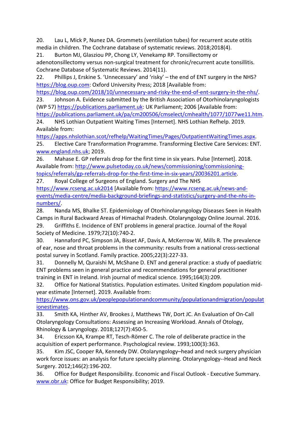20. Lau L, Mick P, Nunez DA. Grommets (ventilation tubes) for recurrent acute otitis media in children. The Cochrane database of systematic reviews. 2018;2018(4).

21. Burton MJ, Glasziou PP, Chong LY, Venekamp RP. Tonsillectomy or adenotonsillectomy versus non-surgical treatment for chronic/recurrent acute tonsillitis. Cochrane Database of Systematic Reviews. 2014(11).

22. Phillips J, Erskine S. 'Unnecessary' and 'risky' – the end of ENT surgery in the NHS? https://blog.oup.com: Oxford University Press; 2018 [Available from:

https://blog.oup.com/2018/10/unnecessary-and-risky-the-end-of-ent-surgery-in-the-nhs/. 23. Johnson A. Evidence submitted by the British Association of Otorhinolaryngologists

(WP 57) https://publications.parliament.uk: UK Parliament; 2006 [Available from: https://publications.parliament.uk/pa/cm200506/cmselect/cmhealth/1077/1077we11.htm.

24. NHS Lothian Outpatient Waiting Times [Internet]. NHS Lothian Refhelp. 2019. Available from:

https://apps.nhslothian.scot/refhelp/WaitingTimes/Pages/OutpatientWaitingTimes.aspx. 25. Elective Care Transformation Programme. Transforming Elective Care Services: ENT. www.england.nhs.uk; 2019.

26. Mahase E. GP referrals drop for the first time in six years. Pulse [Internet]. 2018. Available from: http://www.pulsetoday.co.uk/news/commissioning/commissioningtopics/referrals/gp-referrals-drop-for-the-first-time-in-six-years/20036201.article.

27. Royal College of Surgeons of England. Surgery and The NHS https://www.rcseng.ac.uk2014 [Available from: https://www.rcseng.ac.uk/news-andevents/media-centre/media-background-briefings-and-statistics/surgery-and-the-nhs-innumbers/.

28. Nanda MS, Bhalke ST. Epidemiology of Otorhinolaryngology Diseases Seen in Health Camps in Rural Backward Areas of Himachal Pradesh. Otolaryngology Online Journal. 2016.

29. Griffiths E. Incidence of ENT problems in general practice. Journal of the Royal Society of Medicine. 1979;72(10):740-2.

30. Hannaford PC, Simpson JA, Bisset AF, Davis A, McKerrow W, Mills R. The prevalence of ear, nose and throat problems in the community: results from a national cross-sectional postal survey in Scotland. Family practice. 2005;22(3):227-33.

31. Donnelly M, Quraishi M, McShane D. ENT and general practice: a study of paediatric ENT problems seen in general practice and recommendations for general practitioner training in ENT in Ireland. Irish journal of medical science. 1995;164(3):209.

32. Office for National Statistics. Population estimates. United Kingdom population midyear estimate [Internet]. 2019. Available from:

https://www.ons.gov.uk/peoplepopulationandcommunity/populationandmigration/populat ionestimates.

33. Smith KA, Hinther AV, Brookes J, Matthews TW, Dort JC. An Evaluation of On-Call Otolaryngology Consultations: Assessing an Increasing Workload. Annals of Otology, Rhinology & Laryngology. 2018;127(7):450-5.

34. Ericsson KA, Krampe RT, Tesch-Römer C. The role of deliberate practice in the acquisition of expert performance. Psychological review. 1993;100(3):363.

35. Kim JSC, Cooper RA, Kennedy DW. Otolaryngology–head and neck surgery physician work force issues: an analysis for future specialty planning. Otolaryngology--Head and Neck Surgery. 2012;146(2):196-202.

36. Office for Budget Responsibility. Economic and Fiscal Outlook - Executive Summary. www.obr.uk: Office for Budget Responsibility; 2019.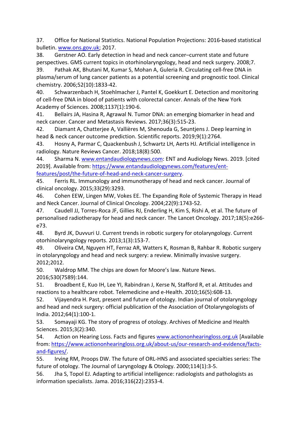37. Office for National Statistics. National Population Projections: 2016-based statistical bulletin. www.ons.gov.uk; 2017.

38. Gerstner AO. Early detection in head and neck cancer–current state and future perspectives. GMS current topics in otorhinolaryngology, head and neck surgery. 2008;7. 39. Pathak AK, Bhutani M, Kumar S, Mohan A, Guleria R. Circulating cell-free DNA in plasma/serum of lung cancer patients as a potential screening and prognostic tool. Clinical chemistry. 2006;52(10):1833-42.

40. Schwarzenbach H, Stoehlmacher J, Pantel K, Goekkurt E. Detection and monitoring of cell-free DNA in blood of patients with colorectal cancer. Annals of the New York Academy of Sciences. 2008;1137(1):190-6.

41. Bellairs JA, Hasina R, Agrawal N. Tumor DNA: an emerging biomarker in head and neck cancer. Cancer and Metastasis Reviews. 2017;36(3):515-23.

42. Diamant A, Chatterjee A, Vallières M, Shenouda G, Seuntjens J. Deep learning in head & neck cancer outcome prediction. Scientific reports. 2019;9(1):2764.

43. Hosny A, Parmar C, Quackenbush J, Schwartz LH, Aerts HJ. Artificial intelligence in radiology. Nature Reviews Cancer. 2018;18(8):500.

44. Sharma N. www.entandaudiologynews.com: ENT and Audiology News. 2019. [cited 2019]. Available from: https://www.entandaudiologynews.com/features/entfeatures/post/the-future-of-head-and-neck-cancer-surgery.

45. Ferris RL. Immunology and immunotherapy of head and neck cancer. Journal of clinical oncology. 2015;33(29):3293.

46. Cohen EEW, Lingen MW, Vokes EE. The Expanding Role of Systemic Therapy in Head and Neck Cancer. Journal of Clinical Oncology. 2004;22(9):1743-52.

47. Caudell JJ, Torres-Roca JF, Gillies RJ, Enderling H, Kim S, Rishi A, et al. The future of personalised radiotherapy for head and neck cancer. The Lancet Oncology. 2017;18(5):e266 e73.

48. Byrd JK, Duvvuri U. Current trends in robotic surgery for otolaryngology. Current otorhinolaryngology reports. 2013;1(3):153-7.

49. Oliveira CM, Nguyen HT, Ferraz AR, Watters K, Rosman B, Rahbar R. Robotic surgery in otolaryngology and head and neck surgery: a review. Minimally invasive surgery. 2012;2012.

50. Waldrop MM. The chips are down for Moore's law. Nature News. 2016;530(7589):144.

51. Broadbent E, Kuo IH, Lee YI, Rabindran J, Kerse N, Stafford R, et al. Attitudes and reactions to a healthcare robot. Telemedicine and e-Health. 2010;16(5):608-13.

52. Vijayendra H. Past, present and future of otology. Indian journal of otolaryngology and head and neck surgery: official publication of the Association of Otolaryngologists of India. 2012;64(1):100-1.

53. Somayaji KG. The story of progress of otology. Archives of Medicine and Health Sciences. 2015;3(2):340.

54. Action on Hearing Loss. Facts and figures www.actiononhearingloss.org.uk [Available from: https://www.actiononhearingloss.org.uk/about-us/our-research-and-evidence/factsand-figures/.

55. Irving RM, Proops DW. The future of ORL-HNS and associated specialties series: The future of otology. The Journal of Laryngology & Otology. 2000;114(1):3-5.

56. Jha S, Topol EJ. Adapting to artificial intelligence: radiologists and pathologists as information specialists. Jama. 2016;316(22):2353-4.